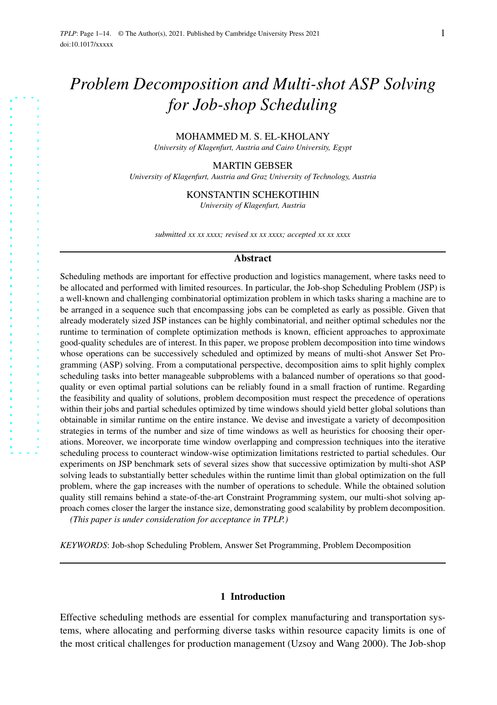# *Problem Decomposition and Multi-shot ASP Solving for Job-shop Scheduling*

## MOHAMMED M. S. EL-KHOLANY

*University of Klagenfurt, Austria and Cairo University, Egypt*

#### MARTIN GEBSER

*University of Klagenfurt, Austria and Graz University of Technology, Austria*

#### KONSTANTIN SCHEKOTIHIN

*University of Klagenfurt, Austria*

*submitted xx xx xxxx; revised xx xx xxxx; accepted xx xx xxxx*

#### **Abstract**

Scheduling methods are important for effective production and logistics management, where tasks need to be allocated and performed with limited resources. In particular, the Job-shop Scheduling Problem (JSP) is a well-known and challenging combinatorial optimization problem in which tasks sharing a machine are to be arranged in a sequence such that encompassing jobs can be completed as early as possible. Given that already moderately sized JSP instances can be highly combinatorial, and neither optimal schedules nor the runtime to termination of complete optimization methods is known, efficient approaches to approximate good-quality schedules are of interest. In this paper, we propose problem decomposition into time windows whose operations can be successively scheduled and optimized by means of multi-shot Answer Set Programming (ASP) solving. From a computational perspective, decomposition aims to split highly complex scheduling tasks into better manageable subproblems with a balanced number of operations so that goodquality or even optimal partial solutions can be reliably found in a small fraction of runtime. Regarding the feasibility and quality of solutions, problem decomposition must respect the precedence of operations within their jobs and partial schedules optimized by time windows should yield better global solutions than obtainable in similar runtime on the entire instance. We devise and investigate a variety of decomposition strategies in terms of the number and size of time windows as well as heuristics for choosing their operations. Moreover, we incorporate time window overlapping and compression techniques into the iterative scheduling process to counteract window-wise optimization limitations restricted to partial schedules. Our experiments on JSP benchmark sets of several sizes show that successive optimization by multi-shot ASP solving leads to substantially better schedules within the runtime limit than global optimization on the full problem, where the gap increases with the number of operations to schedule. While the obtained solution quality still remains behind a state-of-the-art Constraint Programming system, our multi-shot solving approach comes closer the larger the instance size, demonstrating good scalability by problem decomposition.

*(This paper is under consideration for acceptance in TPLP.)*

*KEYWORDS*: Job-shop Scheduling Problem, Answer Set Programming, Problem Decomposition

#### 1 Introduction

Effective scheduling methods are essential for complex manufacturing and transportation systems, where allocating and performing diverse tasks within resource capacity limits is one of the most critical challenges for production management (Uzsoy and Wang 2000). The Job-shop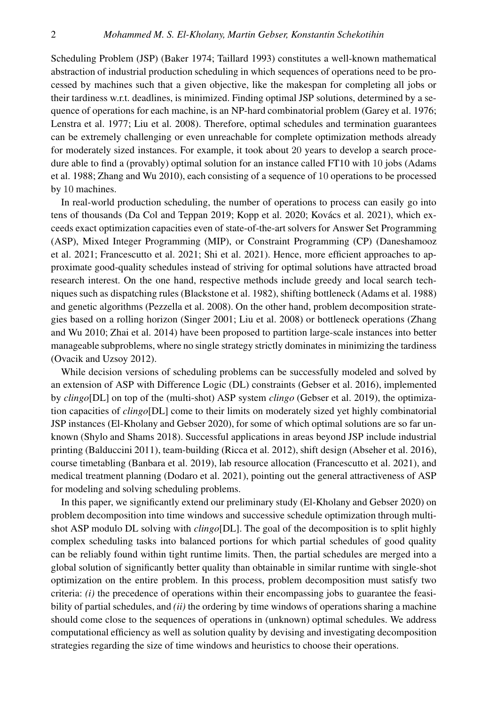Scheduling Problem (JSP) (Baker 1974; Taillard 1993) constitutes a well-known mathematical abstraction of industrial production scheduling in which sequences of operations need to be processed by machines such that a given objective, like the makespan for completing all jobs or their tardiness w.r.t. deadlines, is minimized. Finding optimal JSP solutions, determined by a sequence of operations for each machine, is an NP-hard combinatorial problem (Garey et al. 1976; Lenstra et al. 1977; Liu et al. 2008). Therefore, optimal schedules and termination guarantees can be extremely challenging or even unreachable for complete optimization methods already for moderately sized instances. For example, it took about 20 years to develop a search procedure able to find a (provably) optimal solution for an instance called FT10 with 10 jobs (Adams et al. 1988; Zhang and Wu 2010), each consisting of a sequence of 10 operations to be processed by 10 machines.

In real-world production scheduling, the number of operations to process can easily go into tens of thousands (Da Col and Teppan 2019; Kopp et al. 2020; Kovács et al. 2021), which exceeds exact optimization capacities even of state-of-the-art solvers for Answer Set Programming (ASP), Mixed Integer Programming (MIP), or Constraint Programming (CP) (Daneshamooz et al. 2021; Francescutto et al. 2021; Shi et al. 2021). Hence, more efficient approaches to approximate good-quality schedules instead of striving for optimal solutions have attracted broad research interest. On the one hand, respective methods include greedy and local search techniques such as dispatching rules (Blackstone et al. 1982), shifting bottleneck (Adams et al. 1988) and genetic algorithms (Pezzella et al. 2008). On the other hand, problem decomposition strategies based on a rolling horizon (Singer 2001; Liu et al. 2008) or bottleneck operations (Zhang and Wu 2010; Zhai et al. 2014) have been proposed to partition large-scale instances into better manageable subproblems, where no single strategy strictly dominatesin minimizing the tardiness (Ovacik and Uzsoy 2012).

While decision versions of scheduling problems can be successfully modeled and solved by an extension of ASP with Difference Logic (DL) constraints (Gebser et al. 2016), implemented by *clingo*[DL] on top of the (multi-shot) ASP system *clingo* (Gebser et al. 2019), the optimization capacities of *clingo*[DL] come to their limits on moderately sized yet highly combinatorial JSP instances (El-Kholany and Gebser 2020), for some of which optimal solutions are so far unknown (Shylo and Shams 2018). Successful applications in areas beyond JSP include industrial printing (Balduccini 2011), team-building (Ricca et al. 2012), shift design (Abseher et al. 2016), course timetabling (Banbara et al. 2019), lab resource allocation (Francescutto et al. 2021), and medical treatment planning (Dodaro et al. 2021), pointing out the general attractiveness of ASP for modeling and solving scheduling problems.

In this paper, we significantly extend our preliminary study (El-Kholany and Gebser 2020) on problem decomposition into time windows and successive schedule optimization through multishot ASP modulo DL solving with *clingo*[DL]. The goal of the decomposition is to split highly complex scheduling tasks into balanced portions for which partial schedules of good quality can be reliably found within tight runtime limits. Then, the partial schedules are merged into a global solution of significantly better quality than obtainable in similar runtime with single-shot optimization on the entire problem. In this process, problem decomposition must satisfy two criteria: *(i)* the precedence of operations within their encompassing jobs to guarantee the feasibility of partial schedules, and *(ii)* the ordering by time windows of operations sharing a machine should come close to the sequences of operations in (unknown) optimal schedules. We address computational efficiency as well as solution quality by devising and investigating decomposition strategies regarding the size of time windows and heuristics to choose their operations.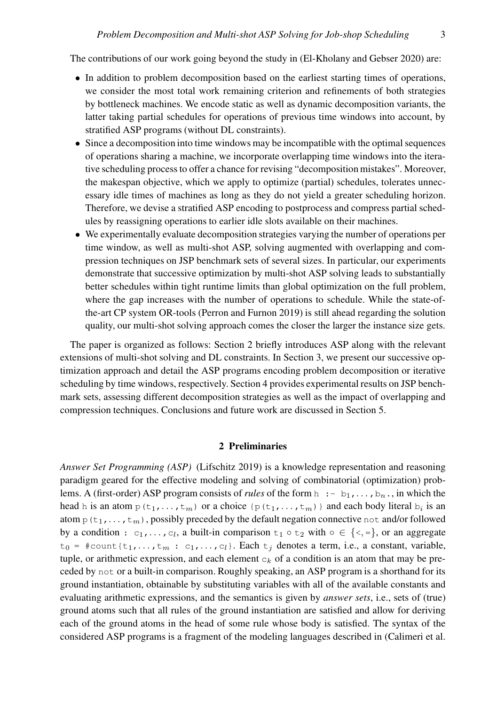The contributions of our work going beyond the study in (El-Kholany and Gebser 2020) are:

- In addition to problem decomposition based on the earliest starting times of operations, we consider the most total work remaining criterion and refinements of both strategies by bottleneck machines. We encode static as well as dynamic decomposition variants, the latter taking partial schedules for operations of previous time windows into account, by stratified ASP programs (without DL constraints).
- Since a decomposition into time windows may be incompatible with the optimal sequences of operations sharing a machine, we incorporate overlapping time windows into the iterative scheduling process to offer a chance for revising "decomposition mistakes". Moreover, the makespan objective, which we apply to optimize (partial) schedules, tolerates unnecessary idle times of machines as long as they do not yield a greater scheduling horizon. Therefore, we devise a stratified ASP encoding to postprocess and compress partial schedules by reassigning operations to earlier idle slots available on their machines.
- We experimentally evaluate decomposition strategies varying the number of operations per time window, as well as multi-shot ASP, solving augmented with overlapping and compression techniques on JSP benchmark sets of several sizes. In particular, our experiments demonstrate that successive optimization by multi-shot ASP solving leads to substantially better schedules within tight runtime limits than global optimization on the full problem, where the gap increases with the number of operations to schedule. While the state-ofthe-art CP system OR-tools (Perron and Furnon 2019) is still ahead regarding the solution quality, our multi-shot solving approach comes the closer the larger the instance size gets.

The paper is organized as follows: Section 2 briefly introduces ASP along with the relevant extensions of multi-shot solving and DL constraints. In Section 3, we present our successive optimization approach and detail the ASP programs encoding problem decomposition or iterative scheduling by time windows, respectively. Section 4 provides experimental results on JSP benchmark sets, assessing different decomposition strategies as well as the impact of overlapping and compression techniques. Conclusions and future work are discussed in Section 5.

## 2 Preliminaries

*Answer Set Programming (ASP)* (Lifschitz 2019) is a knowledge representation and reasoning paradigm geared for the effective modeling and solving of combinatorial (optimization) problems. A (first-order) ASP program consists of *rules* of the form  $h : -b_1, \ldots, b_n$ , in which the head h is an atom  $p(t_1,...,t_m)$  or a choice  $\{p(t_1,...,t_m)\}\$  and each body literal  $b_i$  is an atom  $p(t_1,\ldots,t_m)$ , possibly preceded by the default negation connective not and/or followed by a condition :  $c_1, \ldots, c_l$ , a built-in comparison  $t_1 \circ t_2$  with  $\circ \in \{ \leq, = \}$ , or an aggregate  $t_0 = \text{\texttt{#count}}{t_1,\ldots,t_m : c_1,\ldots,c_l}$ . Each  $t_j$  denotes a term, i.e., a constant, variable, tuple, or arithmetic expression, and each element  $c_k$  of a condition is an atom that may be preceded by not or a built-in comparison. Roughly speaking, an ASP program is a shorthand for its ground instantiation, obtainable by substituting variables with all of the available constants and evaluating arithmetic expressions, and the semantics is given by *answer sets*, i.e., sets of (true) ground atoms such that all rules of the ground instantiation are satisfied and allow for deriving each of the ground atoms in the head of some rule whose body is satisfied. The syntax of the considered ASP programs is a fragment of the modeling languages described in (Calimeri et al.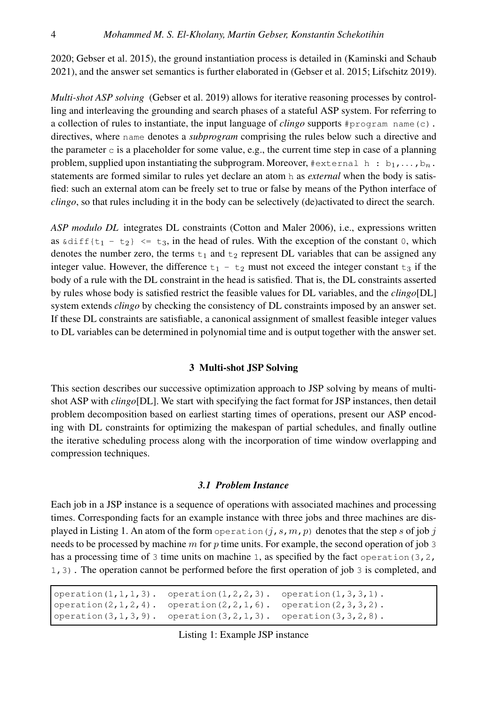2020; Gebser et al. 2015), the ground instantiation process is detailed in (Kaminski and Schaub 2021), and the answer set semantics is further elaborated in (Gebser et al. 2015; Lifschitz 2019).

*Multi-shot ASP solving* (Gebser et al. 2019) allows for iterative reasoning processes by controlling and interleaving the grounding and search phases of a stateful ASP system. For referring to a collection of rules to instantiate, the input language of *clingo* supports #program name(c). directives, where name denotes a *subprogram* comprising the rules below such a directive and the parameter c is a placeholder for some value, e.g., the current time step in case of a planning problem, supplied upon instantiating the subprogram. Moreover,  $#$ external h:  $b_1$ ,..., $b_n$ . statements are formed similar to rules yet declare an atom h as *external* when the body is satisfied: such an external atom can be freely set to true or false by means of the Python interface of *clingo*, so that rules including it in the body can be selectively (de)activated to direct the search.

*ASP modulo DL* integrates DL constraints (Cotton and Maler 2006), i.e., expressions written as  $\delta$ diff $\{t_1 - t_2\}$   $\leq$   $t_3$ , in the head of rules. With the exception of the constant 0, which denotes the number zero, the terms  $t_1$  and  $t_2$  represent DL variables that can be assigned any integer value. However, the difference  $t_1 - t_2$  must not exceed the integer constant  $t_3$  if the body of a rule with the DL constraint in the head is satisfied. That is, the DL constraints asserted by rules whose body is satisfied restrict the feasible values for DL variables, and the *clingo*[DL] system extends *clingo* by checking the consistency of DL constraints imposed by an answer set. If these DL constraints are satisfiable, a canonical assignment of smallest feasible integer values to DL variables can be determined in polynomial time and is output together with the answer set.

# 3 Multi-shot JSP Solving

This section describes our successive optimization approach to JSP solving by means of multishot ASP with *clingo*[DL]. We start with specifying the fact format for JSP instances, then detail problem decomposition based on earliest starting times of operations, present our ASP encoding with DL constraints for optimizing the makespan of partial schedules, and finally outline the iterative scheduling process along with the incorporation of time window overlapping and compression techniques.

# *3.1 Problem Instance*

Each job in a JSP instance is a sequence of operations with associated machines and processing times. Corresponding facts for an example instance with three jobs and three machines are displayed in Listing 1. An atom of the form operation  $(j, s, m, p)$  denotes that the step s of job j needs to be processed by machine m for p time units. For example, the second operation of job 3 has a processing time of 3 time units on machine 1, as specified by the fact operation  $(3, 2, 1)$ 1,3). The operation cannot be performed before the first operation of job 3 is completed, and

```
operation(1,1,1,3). operation(1,2,2,3). operation(1,3,3,1).
operation(2,1,2,4). operation(2,2,1,6). operation(2,3,3,2).
operation(3,1,3,9). operation(3,2,1,3). operation(3,3,2,8).
```
Listing 1: Example JSP instance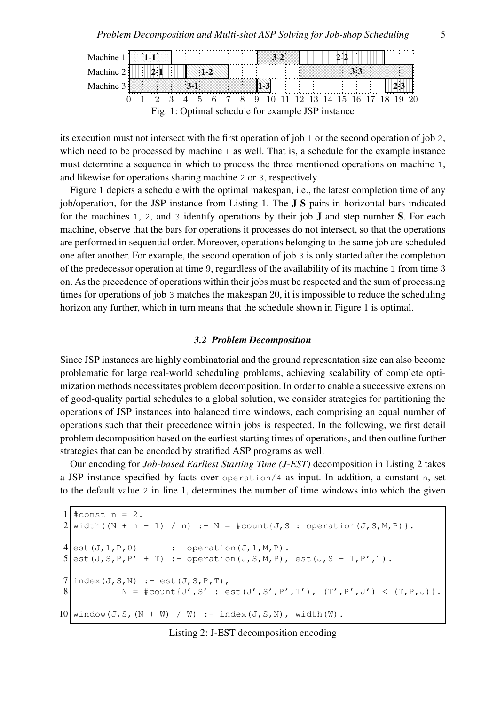

its execution must not intersect with the first operation of job 1 or the second operation of job 2, which need to be processed by machine 1 as well. That is, a schedule for the example instance must determine a sequence in which to process the three mentioned operations on machine 1, and likewise for operations sharing machine 2 or 3, respectively.

Figure 1 depicts a schedule with the optimal makespan, i.e., the latest completion time of any job/operation, for the JSP instance from Listing 1. The J-S pairs in horizontal bars indicated for the machines 1, 2, and 3 identify operations by their job  $J$  and step number S. For each machine, observe that the bars for operations it processes do not intersect, so that the operations are performed in sequential order. Moreover, operations belonging to the same job are scheduled one after another. For example, the second operation of job 3 is only started after the completion of the predecessor operation at time 9, regardless of the availability of its machine 1 from time 3 on. As the precedence of operations within their jobs must be respected and the sum of processing times for operations of job 3 matches the makespan 20, it is impossible to reduce the scheduling horizon any further, which in turn means that the schedule shown in Figure 1 is optimal.

# *3.2 Problem Decomposition*

Since JSP instances are highly combinatorial and the ground representation size can also become problematic for large real-world scheduling problems, achieving scalability of complete optimization methods necessitates problem decomposition. In order to enable a successive extension of good-quality partial schedules to a global solution, we consider strategies for partitioning the operations of JSP instances into balanced time windows, each comprising an equal number of operations such that their precedence within jobs is respected. In the following, we first detail problem decomposition based on the earliest starting times of operations, and then outline further strategies that can be encoded by stratified ASP programs as well.

Our encoding for *Job-based Earliest Starting Time (J-EST)* decomposition in Listing 2 takes a JSP instance specified by facts over operation/4 as input. In addition, a constant n, set to the default value 2 in line 1, determines the number of time windows into which the given

```
1 #const n = 2.
2 \mid \text{width}(\text{N} + \text{n} - 1) / \text{n} := \text{N} = \text{\#count} \{ J, S : \text{operation} (J, S, M, P) \}.4 \text{ est } (J, 1, P, 0) : - operation (J, 1, M, P).
5 est(J,S,P,P' + T) :- operation(J,S,M,P), est(J,S - 1,P',T).
7 index(J, S, N) :- est(J, S, P, T),
8 N = #count{J',S' : est(J',S',P',T'), (T',P',J') < (T,P,J)}.10 window(J,S,(N + W) / W) :- index(J,S,N), width(W).
```
# Listing 2: J-EST decomposition encoding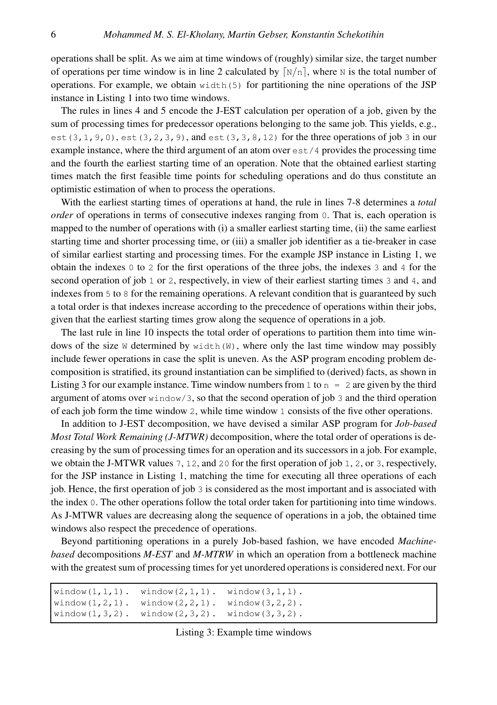operations shall be split. As we aim at time windows of (roughly) similar size, the target number of operations per time window is in line 2 calculated by  $\lceil N/n \rceil$ , where N is the total number of operations. For example, we obtain  $width(5)$  for partitioning the nine operations of the JSP instance in Listing 1 into two time windows.

The rules in lines 4 and 5 encode the J-EST calculation per operation of a job, given by the sum of processing times for predecessor operations belonging to the same job. This yields, e.g., est  $(3,1,9,0)$ , est  $(3,2,3,9)$ , and est  $(3,3,8,12)$  for the three operations of job 3 in our example instance, where the third argument of an atom over  $\epsilon$ st / 4 provides the processing time and the fourth the earliest starting time of an operation. Note that the obtained earliest starting times match the first feasible time points for scheduling operations and do thus constitute an optimistic estimation of when to process the operations.

With the earliest starting times of operations at hand, the rule in lines 7-8 determines a *total order* of operations in terms of consecutive indexes ranging from 0. That is, each operation is mapped to the number of operations with (i) a smaller earliest starting time, (ii) the same earliest starting time and shorter processing time, or (iii) a smaller job identifier as a tie-breaker in case of similar earliest starting and processing times. For the example JSP instance in Listing 1, we obtain the indexes 0 to 2 for the first operations of the three jobs, the indexes 3 and 4 for the second operation of job 1 or 2, respectively, in view of their earliest starting times 3 and 4, and indexes from 5 to 8 for the remaining operations. A relevant condition that is guaranteed by such a total order is that indexes increase according to the precedence of operations within their jobs, given that the earliest starting times grow along the sequence of operations in a job.

The last rule in line 10 inspects the total order of operations to partition them into time windows of the size W determined by width  $(W)$ , where only the last time window may possibly include fewer operations in case the split is uneven. As the ASP program encoding problem decomposition is stratified, its ground instantiation can be simplified to (derived) facts, as shown in Listing 3 for our example instance. Time window numbers from 1 to  $n = 2$  are given by the third argument of atoms over window/3, so that the second operation of job 3 and the third operation of each job form the time window 2, while time window 1 consists of the five other operations.

In addition to J-EST decomposition, we have devised a similar ASP program for *Job-based Most Total Work Remaining (J-MTWR)* decomposition, where the total order of operations is decreasing by the sum of processing times for an operation and its successors in a job. For example, we obtain the J-MTWR values 7, 12, and 20 for the first operation of job 1, 2, or 3, respectively, for the JSP instance in Listing 1, matching the time for executing all three operations of each job. Hence, the first operation of job 3 is considered as the most important and is associated with the index 0. The other operations follow the total order taken for partitioning into time windows. As J-MTWR values are decreasing along the sequence of operations in a job, the obtained time windows also respect the precedence of operations.

Beyond partitioning operations in a purely Job-based fashion, we have encoded *Machinebased* decompositions *M-EST* and *M-MTRW* in which an operation from a bottleneck machine with the greatest sum of processing times for yet unordered operations is considered next. For our

```
window(1,1,1). window(2,1,1). window(3,1,1).
window(1, 2, 1). window(2, 2, 1). window(3, 2, 2).
window(1,3,2). window(2,3,2). window(3,3,2).
```
Listing 3: Example time windows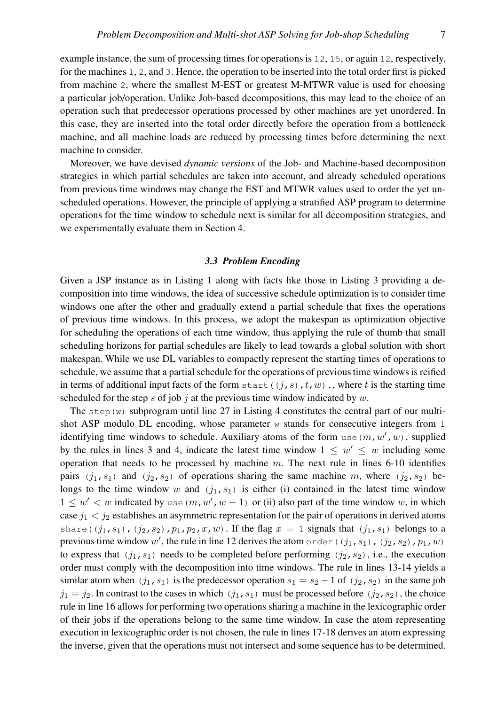example instance, the sum of processing times for operations is 12, 15, or again 12, respectively, for the machines 1, 2, and 3. Hence, the operation to be inserted into the total order first is picked from machine 2, where the smallest M-EST or greatest M-MTWR value is used for choosing a particular job/operation. Unlike Job-based decompositions, this may lead to the choice of an operation such that predecessor operations processed by other machines are yet unordered. In this case, they are inserted into the total order directly before the operation from a bottleneck machine, and all machine loads are reduced by processing times before determining the next machine to consider.

Moreover, we have devised *dynamic versions* of the Job- and Machine-based decomposition strategies in which partial schedules are taken into account, and already scheduled operations from previous time windows may change the EST and MTWR values used to order the yet unscheduled operations. However, the principle of applying a stratified ASP program to determine operations for the time window to schedule next is similar for all decomposition strategies, and we experimentally evaluate them in Section 4.

# *3.3 Problem Encoding*

Given a JSP instance as in Listing 1 along with facts like those in Listing 3 providing a decomposition into time windows, the idea of successive schedule optimization is to consider time windows one after the other and gradually extend a partial schedule that fixes the operations of previous time windows. In this process, we adopt the makespan as optimization objective for scheduling the operations of each time window, thus applying the rule of thumb that small scheduling horizons for partial schedules are likely to lead towards a global solution with short makespan. While we use DL variables to compactly represent the starting times of operations to schedule, we assume that a partial schedule for the operations of previous time windows is reified in terms of additional input facts of the form start( $(j, s)$ ,  $t, w$ )., where t is the starting time scheduled for the step s of job j at the previous time window indicated by  $w$ .

The step  $(w)$  subprogram until line 27 in Listing 4 constitutes the central part of our multishot ASP modulo DL encoding, whose parameter  $w$  stands for consecutive integers from 1 identifying time windows to schedule. Auxiliary atoms of the form use  $(m, w', w)$ , supplied by the rules in lines 3 and 4, indicate the latest time window  $1 \leq w' \leq w$  including some operation that needs to be processed by machine  $m$ . The next rule in lines 6-10 identifies pairs  $(j_1, s_1)$  and  $(j_2, s_2)$  of operations sharing the same machine m, where  $(j_2, s_2)$  belongs to the time window w and  $(j_1, s_1)$  is either (i) contained in the latest time window  $1 \leq w' < w$  indicated by use  $(m, w', w - 1)$  or (ii) also part of the time window w, in which case  $j_1 < j_2$  establishes an asymmetric representation for the pair of operations in derived atoms share( $(j_1, s_1)$ ,  $(j_2, s_2)$ ,  $p_1, p_2, x, w$ ). If the flag  $x = 1$  signals that  $(j_1, s_1)$  belongs to a previous time window w', the rule in line 12 derives the atom order ((j<sub>1</sub>, s<sub>1</sub>), (j<sub>2</sub>, s<sub>2</sub>),  $p_1$ , w) to express that  $(j_1, s_1)$  needs to be completed before performing  $(j_2, s_2)$ , i.e., the execution order must comply with the decomposition into time windows. The rule in lines 13-14 yields a similar atom when  $(j_1, s_1)$  is the predecessor operation  $s_1 = s_2 - 1$  of  $(j_2, s_2)$  in the same job  $j_1 = j_2$ . In contrast to the cases in which  $(j_1, s_1)$  must be processed before  $(j_2, s_2)$ , the choice rule in line 16 allows for performing two operations sharing a machine in the lexicographic order of their jobs if the operations belong to the same time window. In case the atom representing execution in lexicographic order is not chosen, the rule in lines 17-18 derives an atom expressing the inverse, given that the operations must not intersect and some sequence has to be determined.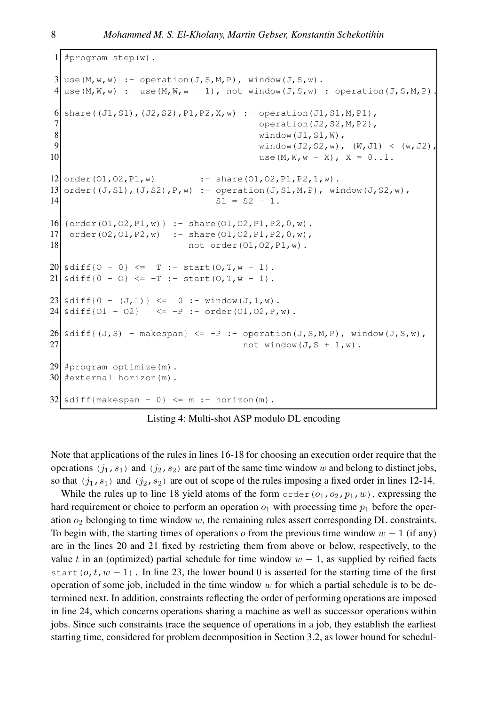```
1 #program step(w).
3 \vert use(M,w,w) :- operation(J,S,M,P), window(J,S,w).
4 \mid use(M,W,w) :- use(M,W,w - 1), not window(J,S,w) : operation(J,S,M,P).
6 \;share((J1,S1),(J2,S2),P1,P2,X,w) :- operation(J1,S1,M,P1),
7 operation(J2, S2, M, P2),
8 window(J1,S1,W),
9 window(J2, S2, w), (W, J1) < (w, J2),
10 \log(M, W, W - X), X = 0...1.12 \text{ order}(01, 02, P1, w) :- share(01,02, P1, P2, 1, w).
13 order((J, S1),(J, S2),P, w) :- operation(J, SI, M, P), window(J, SZ, w),
14 S1 = S2 - 1.
16 {order(O1, O2, P1, w) } : - share(O1, O2, P1, P2, O, w).
17 order(O2,O1,P2,w) :- share(O1,O2,P1,P2,0,w),
18 not order(01,02, P1, w).
20 \times \text{diff} \{0 - 0\} \leq T := \text{start}(0, T, w - 1).21 \times \text{diff} \{0 - 0\} \leq -T : - start (0, T, w - 1).
23 \times \text{diff} \{0 - (J, 1)\} \le 0 \text{ :}- \text{window} (J, 1, w).24 \times \text{diff}{01 - 02} \leq -P :- order(01,02, P,w).
26 \delta diff{(J,S) - makespan} <= -P :- operation(J,S,M,P), window(J,S,w),
27 not window(J, S + 1, w).
29 #program optimize(m).
30 #external horizon(m).
32 \times \text{diff}{makespan - 0} \leq m :- horizon(m).
```
Listing 4: Multi-shot ASP modulo DL encoding

Note that applications of the rules in lines 16-18 for choosing an execution order require that the operations  $(j_1, s_1)$  and  $(j_2, s_2)$  are part of the same time window w and belong to distinct jobs, so that  $(j_1, s_1)$  and  $(j_2, s_2)$  are out of scope of the rules imposing a fixed order in lines 12-14.

While the rules up to line 18 yield atoms of the form  $\text{order}(o_1,o_2,p_1,w)$ , expressing the hard requirement or choice to perform an operation  $o_1$  with processing time  $p_1$  before the operation  $o_2$  belonging to time window w, the remaining rules assert corresponding DL constraints. To begin with, the starting times of operations o from the previous time window  $w - 1$  (if any) are in the lines 20 and 21 fixed by restricting them from above or below, respectively, to the value t in an (optimized) partial schedule for time window  $w - 1$ , as supplied by reified facts start( $o, t, w - 1$ ). In line 23, the lower bound 0 is asserted for the starting time of the first operation of some job, included in the time window  $w$  for which a partial schedule is to be determined next. In addition, constraints reflecting the order of performing operations are imposed in line 24, which concerns operations sharing a machine as well as successor operations within jobs. Since such constraints trace the sequence of operations in a job, they establish the earliest starting time, considered for problem decomposition in Section 3.2, as lower bound for schedul-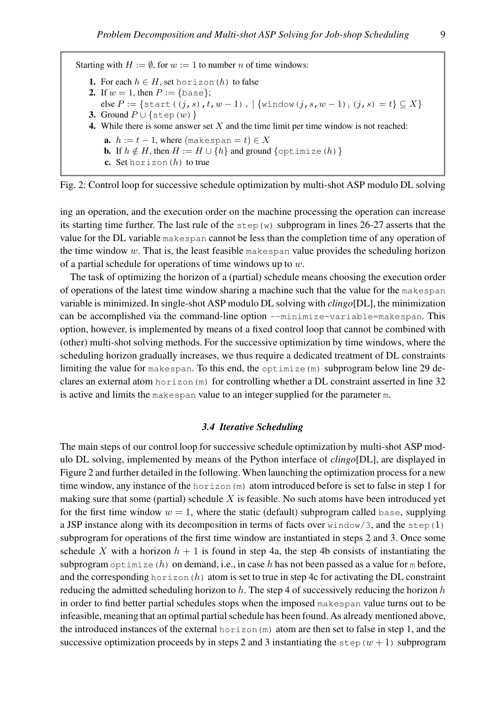Starting with  $H := \emptyset$ , for  $w := 1$  to number *n* of time windows:

- 1. For each  $h \in H$ , set horizon (h) to false
- 2. If  $w = 1$ , then  $P := \{base\};$
- else  $P := \{ \text{start}((j,s),t,w-1) \}. \ |\ \{\text{window}(j,s,w-1), (j,s) = t\} \subseteq X \}$
- 3. Ground  $P \cup \{ \text{step}(w) \}$
- 4. While there is some answer set  $X$  and the time limit per time window is not reached:
	- **a.**  $h := t 1$ , where  $(makespan = t) \in X$
	- **b.** If  $h \notin H$ , then  $H := H \cup \{h\}$  and ground  $\{\text{optimize}(h)\}\$
	- c. Set horizon $(h)$  to true

Fig. 2: Control loop for successive schedule optimization by multi-shot ASP modulo DL solving

ing an operation, and the execution order on the machine processing the operation can increase its starting time further. The last rule of the  $step(w)$  subprogram in lines 26-27 asserts that the value for the DL variable makespan cannot be less than the completion time of any operation of the time window  $w$ . That is, the least feasible makespan value provides the scheduling horizon of a partial schedule for operations of time windows up to  $w$ .

The task of optimizing the horizon of a (partial) schedule means choosing the execution order of operations of the latest time window sharing a machine such that the value for the makespan variable is minimized. In single-shot ASP modulo DL solving with *clingo*[DL], the minimization can be accomplished via the command-line option --minimize-variable=makespan. This option, however, is implemented by means of a fixed control loop that cannot be combined with (other) multi-shot solving methods. For the successive optimization by time windows, where the scheduling horizon gradually increases, we thus require a dedicated treatment of DL constraints limiting the value for makespan. To this end, the optimize  $(m)$  subprogram below line 29 declares an external atom horizon (m) for controlling whether a DL constraint asserted in line 32 is active and limits the makespan value to an integer supplied for the parameter m.

# *3.4 Iterative Scheduling*

The main steps of our control loop for successive schedule optimization by multi-shot ASP modulo DL solving, implemented by means of the Python interface of *clingo*[DL], are displayed in Figure 2 and further detailed in the following. When launching the optimization process for a new time window, any instance of the horizon  $(m)$  atom introduced before is set to false in step 1 for making sure that some (partial) schedule  $X$  is feasible. No such atoms have been introduced yet for the first time window  $w = 1$ , where the static (default) subprogram called base, supplying a JSP instance along with its decomposition in terms of facts over  $\text{window}/3$ , and the step(1) subprogram for operations of the first time window are instantiated in steps 2 and 3. Once some schedule X with a horizon  $h + 1$  is found in step 4a, the step 4b consists of instantiating the subprogram optimize (h) on demand, i.e., in case h has not been passed as a value for m before, and the corresponding horizon  $(h)$  atom is set to true in step 4c for activating the DL constraint reducing the admitted scheduling horizon to  $h$ . The step 4 of successively reducing the horizon  $h$ in order to find better partial schedules stops when the imposed makespan value turns out to be infeasible, meaning that an optimal partial schedule has been found. As already mentioned above, the introduced instances of the external horizon(m) atom are then set to false in step 1, and the successive optimization proceeds by in steps 2 and 3 instantiating the step  $(w + 1)$  subprogram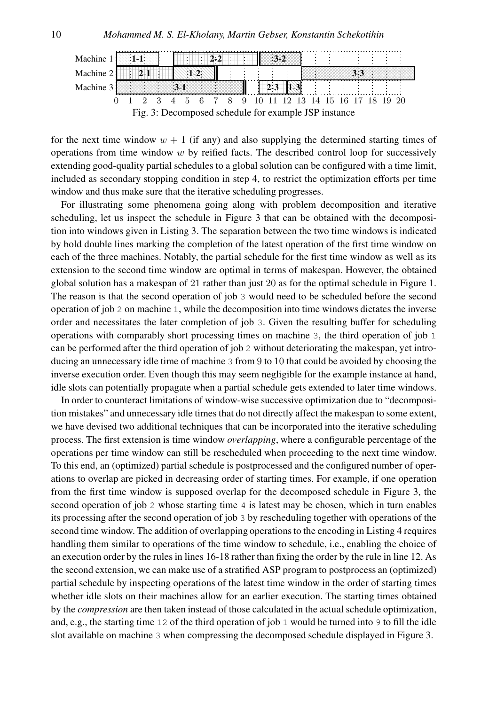

for the next time window  $w + 1$  (if any) and also supplying the determined starting times of operations from time window  $w$  by reified facts. The described control loop for successively extending good-quality partial schedules to a global solution can be configured with a time limit, included as secondary stopping condition in step 4, to restrict the optimization efforts per time window and thus make sure that the iterative scheduling progresses.

For illustrating some phenomena going along with problem decomposition and iterative scheduling, let us inspect the schedule in Figure 3 that can be obtained with the decomposition into windows given in Listing 3. The separation between the two time windows is indicated by bold double lines marking the completion of the latest operation of the first time window on each of the three machines. Notably, the partial schedule for the first time window as well as its extension to the second time window are optimal in terms of makespan. However, the obtained global solution has a makespan of 21 rather than just 20 as for the optimal schedule in Figure 1. The reason is that the second operation of job 3 would need to be scheduled before the second operation of job 2 on machine 1, while the decomposition into time windows dictates the inverse order and necessitates the later completion of job 3. Given the resulting buffer for scheduling operations with comparably short processing times on machine 3, the third operation of job 1 can be performed after the third operation of job 2 without deteriorating the makespan, yet introducing an unnecessary idle time of machine 3 from 9 to 10 that could be avoided by choosing the inverse execution order. Even though this may seem negligible for the example instance at hand, idle slots can potentially propagate when a partial schedule gets extended to later time windows.

In order to counteract limitations of window-wise successive optimization due to "decomposition mistakes" and unnecessary idle times that do not directly affect the makespan to some extent, we have devised two additional techniques that can be incorporated into the iterative scheduling process. The first extension is time window *overlapping*, where a configurable percentage of the operations per time window can still be rescheduled when proceeding to the next time window. To this end, an (optimized) partial schedule is postprocessed and the configured number of operations to overlap are picked in decreasing order of starting times. For example, if one operation from the first time window is supposed overlap for the decomposed schedule in Figure 3, the second operation of job 2 whose starting time 4 is latest may be chosen, which in turn enables its processing after the second operation of job 3 by rescheduling together with operations of the second time window. The addition of overlapping operations to the encoding in Listing 4 requires handling them similar to operations of the time window to schedule, i.e., enabling the choice of an execution order by the rules in lines 16-18 rather than fixing the order by the rule in line 12. As the second extension, we can make use of a stratified ASP program to postprocess an (optimized) partial schedule by inspecting operations of the latest time window in the order of starting times whether idle slots on their machines allow for an earlier execution. The starting times obtained by the *compression* are then taken instead of those calculated in the actual schedule optimization, and, e.g., the starting time 12 of the third operation of job 1 would be turned into 9 to fill the idle slot available on machine 3 when compressing the decomposed schedule displayed in Figure 3.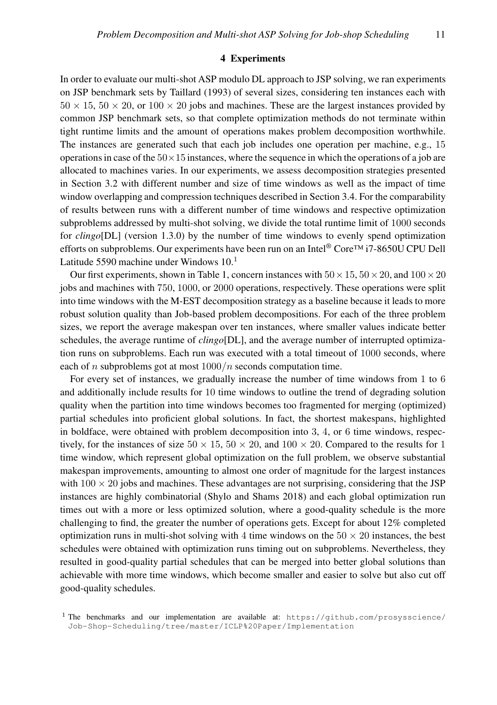#### 4 Experiments

In order to evaluate our multi-shot ASP modulo DL approach to JSP solving, we ran experiments on JSP benchmark sets by Taillard (1993) of several sizes, considering ten instances each with  $50 \times 15$ ,  $50 \times 20$ , or  $100 \times 20$  jobs and machines. These are the largest instances provided by common JSP benchmark sets, so that complete optimization methods do not terminate within tight runtime limits and the amount of operations makes problem decomposition worthwhile. The instances are generated such that each job includes one operation per machine, e.g., 15 operations in case of the  $50\times15$  instances, where the sequence in which the operations of a job are allocated to machines varies. In our experiments, we assess decomposition strategies presented in Section 3.2 with different number and size of time windows as well as the impact of time window overlapping and compression techniques described in Section 3.4. For the comparability of results between runs with a different number of time windows and respective optimization subproblems addressed by multi-shot solving, we divide the total runtime limit of 1000 seconds for *clingo*[DL] (version 1.3.0) by the number of time windows to evenly spend optimization efforts on subproblems. Our experiments have been run on an Intel® Core™ i7-8650U CPU Dell Latitude 5590 machine under Windows  $10<sup>1</sup>$ 

Our first experiments, shown in Table 1, concern instances with  $50 \times 15$ ,  $50 \times 20$ , and  $100 \times 20$ jobs and machines with 750, 1000, or 2000 operations, respectively. These operations were split into time windows with the M-EST decomposition strategy as a baseline because it leads to more robust solution quality than Job-based problem decompositions. For each of the three problem sizes, we report the average makespan over ten instances, where smaller values indicate better schedules, the average runtime of *clingo*[DL], and the average number of interrupted optimization runs on subproblems. Each run was executed with a total timeout of 1000 seconds, where each of n subproblems got at most  $1000/n$  seconds computation time.

For every set of instances, we gradually increase the number of time windows from 1 to 6 and additionally include results for 10 time windows to outline the trend of degrading solution quality when the partition into time windows becomes too fragmented for merging (optimized) partial schedules into proficient global solutions. In fact, the shortest makespans, highlighted in boldface, were obtained with problem decomposition into 3, 4, or 6 time windows, respectively, for the instances of size  $50 \times 15$ ,  $50 \times 20$ , and  $100 \times 20$ . Compared to the results for 1 time window, which represent global optimization on the full problem, we observe substantial makespan improvements, amounting to almost one order of magnitude for the largest instances with  $100 \times 20$  jobs and machines. These advantages are not surprising, considering that the JSP instances are highly combinatorial (Shylo and Shams 2018) and each global optimization run times out with a more or less optimized solution, where a good-quality schedule is the more challenging to find, the greater the number of operations gets. Except for about 12% completed optimization runs in multi-shot solving with 4 time windows on the  $50 \times 20$  instances, the best schedules were obtained with optimization runs timing out on subproblems. Nevertheless, they resulted in good-quality partial schedules that can be merged into better global solutions than achievable with more time windows, which become smaller and easier to solve but also cut off good-quality schedules.

<sup>&</sup>lt;sup>1</sup> The benchmarks and our implementation are available at: https://github.com/prosysscience/ Job-Shop-Scheduling/tree/master/ICLP%20Paper/Implementation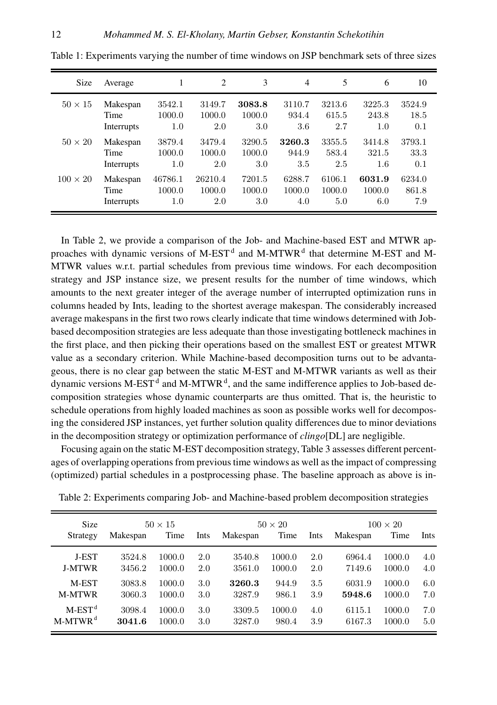| Size            | Average                        | 1                        | 2                        | 3                       | $\overline{4}$          | 5                       | 6                          | 10                     |  |
|-----------------|--------------------------------|--------------------------|--------------------------|-------------------------|-------------------------|-------------------------|----------------------------|------------------------|--|
| $50 \times 15$  | Makespan<br>Time<br>Interrupts | 3542.1<br>1000.0<br>1.0  | 3149.7<br>1000.0<br>2.0  | 3083.8<br>1000.0<br>3.0 | 3110.7<br>934.4<br>3.6  | 3213.6<br>615.5<br>2.7  | 3225.3<br>243.8<br>1.0     | 3524.9<br>18.5<br>0.1  |  |
| $50 \times 20$  | Makespan<br>Time<br>Interrupts | 3879.4<br>1000.0<br>1.0  | 3479.4<br>1000.0<br>2.0  | 3290.5<br>1000.0<br>3.0 | 3260.3<br>944.9<br>3.5  | 3355.5<br>583.4<br>2.5  | 3414.8<br>321.5<br>$1.6\,$ | 3793.1<br>33.3<br>0.1  |  |
| $100 \times 20$ | Makespan<br>Time<br>Interrupts | 46786.1<br>1000.0<br>1.0 | 26210.4<br>1000.0<br>2.0 | 7201.5<br>1000.0<br>3.0 | 6288.7<br>1000.0<br>4.0 | 6106.1<br>1000.0<br>5.0 | 6031.9<br>1000.0<br>6.0    | 6234.0<br>861.8<br>7.9 |  |

Table 1: Experiments varying the number of time windows on JSP benchmark sets of three sizes

In Table 2, we provide a comparison of the Job- and Machine-based EST and MTWR approaches with dynamic versions of M-EST<sup>d</sup> and M-MTWR<sup>d</sup> that determine M-EST and M-MTWR values w.r.t. partial schedules from previous time windows. For each decomposition strategy and JSP instance size, we present results for the number of time windows, which amounts to the next greater integer of the average number of interrupted optimization runs in columns headed by Ints, leading to the shortest average makespan. The considerably increased average makespans in the first two rows clearly indicate that time windows determined with Jobbased decomposition strategies are less adequate than those investigating bottleneck machines in the first place, and then picking their operations based on the smallest EST or greatest MTWR value as a secondary criterion. While Machine-based decomposition turns out to be advantageous, there is no clear gap between the static M-EST and M-MTWR variants as well as their dynamic versions M-EST<sup>d</sup> and M-MTWR<sup>d</sup>, and the same indifference applies to Job-based decomposition strategies whose dynamic counterparts are thus omitted. That is, the heuristic to schedule operations from highly loaded machines as soon as possible works well for decomposing the considered JSP instances, yet further solution quality differences due to minor deviations in the decomposition strategy or optimization performance of *clingo*[DL] are negligible.

Focusing again on the static M-EST decomposition strategy, Table 3 assesses different percentages of overlapping operations from previous time windows as well as the impact of compressing (optimized) partial schedules in a postprocessing phase. The baseline approach as above is in-

| <b>Size</b>           | $50 \times 15$ |        |      | $50 \times 20$ |        |      | $100 \times 20$ |        |      |
|-----------------------|----------------|--------|------|----------------|--------|------|-----------------|--------|------|
| Strategy              | Makespan       | Time   | Ints | Makespan       | Time   | Ints | Makespan        | Time   | Ints |
| <b>J-EST</b>          | 3524.8         | 1000.0 | 2.0  | 3540.8         | 1000.0 | 2.0  | 6964.4          | 1000.0 | 4.0  |
| <b>J-MTWR</b>         | 3456.2         | 1000.0 | 2.0  | 3561.0         | 1000.0 | 2.0  | 7149.6          | 1000.0 | 4.0  |
| M-EST                 | 3083.8         | 1000.0 | 3.0  | 3260.3         | 944.9  | 3.5  | 6031.9          | 1000.0 | 6.0  |
| <b>M-MTWR</b>         | 3060.3         | 1000.0 | 3.0  | 3287.9         | 986.1  | 3.9  | 5948.6          | 1000.0 | 7.0  |
| $M$ -EST <sup>d</sup> | 3098.4         | 1000.0 | 3.0  | 3309.5         | 1000.0 | 4.0  | 6115.1          | 1000.0 | 7.0  |
| $M-MTWR^d$            | 3041.6         | 1000.0 | 3.0  | 3287.0         | 980.4  | 3.9  | 6167.3          | 1000.0 | 5.0  |

Table 2: Experiments comparing Job- and Machine-based problem decomposition strategies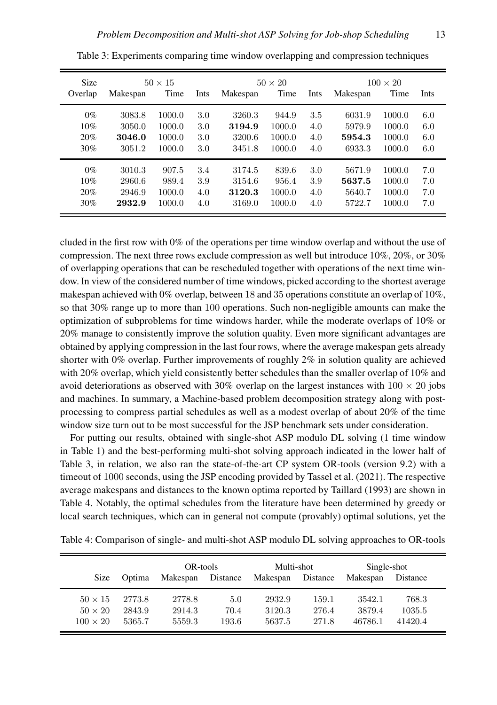| Size    |          | $50 \times 15$ |      | $50 \times 20$ |        |      | $100 \times 20$ |        |      |
|---------|----------|----------------|------|----------------|--------|------|-----------------|--------|------|
| Overlap | Makespan | Time           | Ints | Makespan       | Time   | Ints | Makespan        | Time   | Ints |
| $0\%$   | 3083.8   | 1000.0         | 3.0  | 3260.3         | 944.9  | 3.5  | 6031.9          | 1000.0 | 6.0  |
| 10%     | 3050.0   | 1000.0         | 3.0  | 3194.9         | 1000.0 | 4.0  | 5979.9          | 1000.0 | 6.0  |
| 20%     | 3046.0   | 1000.0         | 3.0  | 3200.6         | 1000.0 | 4.0  | 5954.3          | 1000.0 | 6.0  |
| 30%     | 3051.2   | 1000.0         | 3.0  | 3451.8         | 1000.0 | 4.0  | 6933.3          | 1000.0 | 6.0  |
| $0\%$   | 3010.3   | 907.5          | 3.4  | 3174.5         | 839.6  | 3.0  | 5671.9          | 1000.0 | 7.0  |
| 10%     | 2960.6   | 989.4          | 3.9  | 3154.6         | 956.4  | 3.9  | 5637.5          | 1000.0 | 7.0  |
| 20%     | 2946.9   | 1000.0         | 4.0  | 3120.3         | 1000.0 | 4.0  | 5640.7          | 1000.0 | 7.0  |
| 30%     | 2932.9   | 1000.0         | 4.0  | 3169.0         | 1000.0 | 4.0  | 5722.7          | 1000.0 | 7.0  |

Table 3: Experiments comparing time window overlapping and compression techniques

cluded in the first row with 0% of the operations per time window overlap and without the use of compression. The next three rows exclude compression as well but introduce 10%, 20%, or 30% of overlapping operations that can be rescheduled together with operations of the next time window. In view of the considered number of time windows, picked according to the shortest average makespan achieved with 0% overlap, between 18 and 35 operations constitute an overlap of 10%, so that 30% range up to more than 100 operations. Such non-negligible amounts can make the optimization of subproblems for time windows harder, while the moderate overlaps of 10% or 20% manage to consistently improve the solution quality. Even more significant advantages are obtained by applying compression in the last four rows, where the average makespan gets already shorter with 0% overlap. Further improvements of roughly 2% in solution quality are achieved with 20% overlap, which yield consistently better schedules than the smaller overlap of 10% and avoid deteriorations as observed with 30% overlap on the largest instances with  $100 \times 20$  jobs and machines. In summary, a Machine-based problem decomposition strategy along with postprocessing to compress partial schedules as well as a modest overlap of about 20% of the time window size turn out to be most successful for the JSP benchmark sets under consideration.

For putting our results, obtained with single-shot ASP modulo DL solving (1 time window in Table 1) and the best-performing multi-shot solving approach indicated in the lower half of Table 3, in relation, we also ran the state-of-the-art CP system OR-tools (version 9.2) with a timeout of 1000 seconds, using the JSP encoding provided by Tassel et al. (2021). The respective average makespans and distances to the known optima reported by Taillard (1993) are shown in Table 4. Notably, the optimal schedules from the literature have been determined by greedy or local search techniques, which can in general not compute (provably) optimal solutions, yet the

Table 4: Comparison of single- and multi-shot ASP modulo DL solving approaches to OR-tools

|                 |        | OR-tools |          | Multi-shot |          | Single-shot |          |
|-----------------|--------|----------|----------|------------|----------|-------------|----------|
| <b>Size</b>     | Optima | Makespan | Distance | Makespan   | Distance | Makespan    | Distance |
| $50 \times 15$  | 2773.8 | 2778.8   | 5.0      | 2932.9     | 159.1    | 3542.1      | 768.3    |
| $50 \times 20$  | 2843.9 | 2914.3   | 70.4     | 3120.3     | 276.4    | 3879.4      | 1035.5   |
| $100 \times 20$ | 5365.7 | 5559.3   | 193.6    | 5637.5     | 271.8    | 46786.1     | 41420.4  |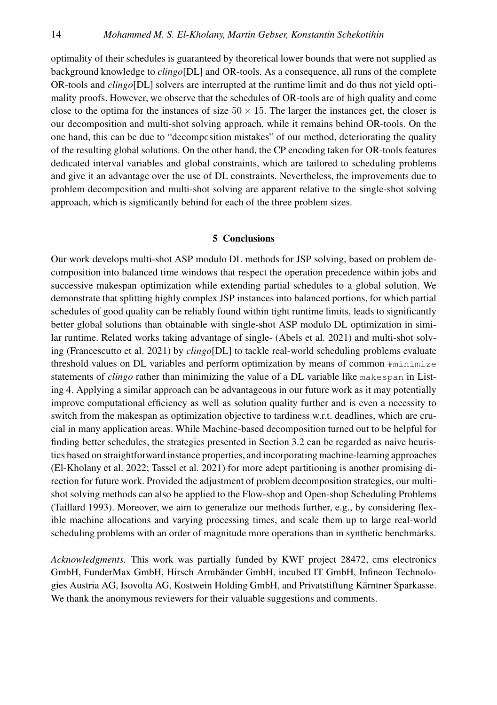optimality of their schedules is guaranteed by theoretical lower bounds that were not supplied as background knowledge to *clingo*[DL] and OR-tools. As a consequence, all runs of the complete OR-tools and *clingo*[DL] solvers are interrupted at the runtime limit and do thus not yield optimality proofs. However, we observe that the schedules of OR-tools are of high quality and come close to the optima for the instances of size  $50 \times 15$ . The larger the instances get, the closer is our decomposition and multi-shot solving approach, while it remains behind OR-tools. On the one hand, this can be due to "decomposition mistakes" of our method, deteriorating the quality of the resulting global solutions. On the other hand, the CP encoding taken for OR-tools features dedicated interval variables and global constraints, which are tailored to scheduling problems and give it an advantage over the use of DL constraints. Nevertheless, the improvements due to problem decomposition and multi-shot solving are apparent relative to the single-shot solving approach, which is significantly behind for each of the three problem sizes.

## 5 Conclusions

Our work develops multi-shot ASP modulo DL methods for JSP solving, based on problem decomposition into balanced time windows that respect the operation precedence within jobs and successive makespan optimization while extending partial schedules to a global solution. We demonstrate that splitting highly complex JSP instances into balanced portions, for which partial schedules of good quality can be reliably found within tight runtime limits, leads to significantly better global solutions than obtainable with single-shot ASP modulo DL optimization in similar runtime. Related works taking advantage of single- (Abels et al. 2021) and multi-shot solving (Francescutto et al. 2021) by *clingo*[DL] to tackle real-world scheduling problems evaluate threshold values on DL variables and perform optimization by means of common #minimize statements of *clingo* rather than minimizing the value of a DL variable like makespan in Listing 4. Applying a similar approach can be advantageous in our future work as it may potentially improve computational efficiency as well as solution quality further and is even a necessity to switch from the makespan as optimization objective to tardiness w.r.t. deadlines, which are crucial in many application areas. While Machine-based decomposition turned out to be helpful for finding better schedules, the strategies presented in Section 3.2 can be regarded as naive heuristics based on straightforward instance properties, and incorporatingmachine-learning approaches (El-Kholany et al. 2022; Tassel et al. 2021) for more adept partitioning is another promising direction for future work. Provided the adjustment of problem decomposition strategies, our multishot solving methods can also be applied to the Flow-shop and Open-shop Scheduling Problems (Taillard 1993). Moreover, we aim to generalize our methods further, e.g., by considering flexible machine allocations and varying processing times, and scale them up to large real-world scheduling problems with an order of magnitude more operations than in synthetic benchmarks.

*Acknowledgments.* This work was partially funded by KWF project 28472, cms electronics GmbH, FunderMax GmbH, Hirsch Armbänder GmbH, incubed IT GmbH, Infineon Technologies Austria AG, Isovolta AG, Kostwein Holding GmbH, and Privatstiftung Kärntner Sparkasse. We thank the anonymous reviewers for their valuable suggestions and comments.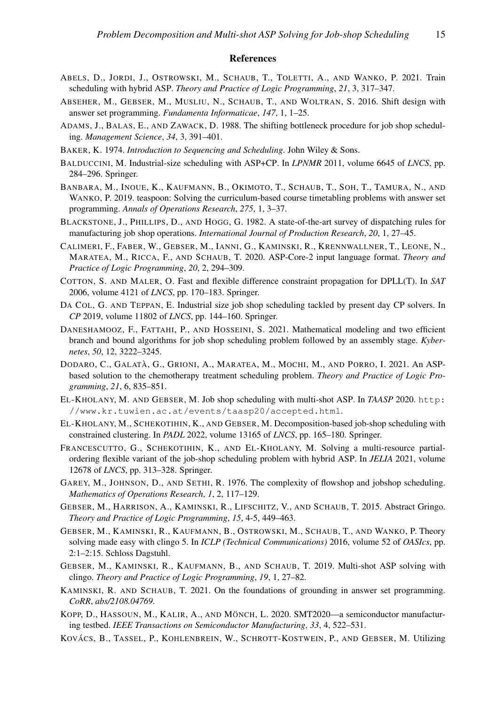#### References

- ABELS, D., JORDI, J., OSTROWSKI, M., SCHAUB, T., TOLETTI, A., AND WANKO, P. 2021. Train scheduling with hybrid ASP. *Theory and Practice of Logic Programming*, *21*, 3, 317–347.
- ABSEHER, M., GEBSER, M., MUSLIU, N., SCHAUB, T., AND WOLTRAN, S. 2016. Shift design with answer set programming. *Fundamenta Informaticae*, *147*, 1, 1–25.
- ADAMS, J., BALAS, E., AND ZAWACK, D. 1988. The shifting bottleneck procedure for job shop scheduling. *Management Science*, *34*, 3, 391–401.
- BAKER, K. 1974. *Introduction to Sequencing and Scheduling*. John Wiley & Sons.
- BALDUCCINI, M. Industrial-size scheduling with ASP+CP. In *LPNMR* 2011, volume 6645 of *LNCS*, pp. 284–296. Springer.
- BANBARA, M., INOUE, K., KAUFMANN, B., OKIMOTO, T., SCHAUB, T., SOH, T., TAMURA, N., AND WANKO, P. 2019. teaspoon: Solving the curriculum-based course timetabling problems with answer set programming. *Annals of Operations Research*, *275*, 1, 3–37.
- BLACKSTONE, J., PHILLIPS, D., AND HOGG, G. 1982. A state-of-the-art survey of dispatching rules for manufacturing job shop operations. *International Journal of Production Research*, *20*, 1, 27–45.
- CALIMERI, F., FABER, W., GEBSER, M., IANNI, G., KAMINSKI, R., KRENNWALLNER, T., LEONE, N., MARATEA, M., RICCA, F., AND SCHAUB, T. 2020. ASP-Core-2 input language format. *Theory and Practice of Logic Programming*, *20*, 2, 294–309.
- COTTON, S. AND MALER, O. Fast and flexible difference constraint propagation for DPLL(T). In *SAT* 2006, volume 4121 of *LNCS*, pp. 170–183. Springer.
- DA COL, G. AND TEPPAN, E. Industrial size job shop scheduling tackled by present day CP solvers. In *CP* 2019, volume 11802 of *LNCS*, pp. 144–160. Springer.
- DANESHAMOOZ, F., FATTAHI, P., AND HOSSEINI, S. 2021. Mathematical modeling and two efficient branch and bound algorithms for job shop scheduling problem followed by an assembly stage. *Kybernetes*, *50*, 12, 3222–3245.
- DODARO, C., GALATÀ, G., GRIONI, A., MARATEA, M., MOCHI, M., AND PORRO, I. 2021. An ASPbased solution to the chemotherapy treatment scheduling problem. *Theory and Practice of Logic Programming*, *21*, 6, 835–851.
- EL-KHOLANY, M. AND GEBSER, M. Job shop scheduling with multi-shot ASP. In *TAASP* 2020. http: //www.kr.tuwien.ac.at/events/taasp20/accepted.html.
- EL-KHOLANY, M., SCHEKOTIHIN, K., AND GEBSER, M. Decomposition-based job-shop scheduling with constrained clustering. In *PADL* 2022, volume 13165 of *LNCS*, pp. 165–180. Springer.
- FRANCESCUTTO, G., SCHEKOTIHIN, K., AND EL-KHOLANY, M. Solving a multi-resource partialordering flexible variant of the job-shop scheduling problem with hybrid ASP. In *JELIA* 2021, volume 12678 of *LNCS*, pp. 313–328. Springer.
- GAREY, M., JOHNSON, D., AND SETHI, R. 1976. The complexity of flowshop and jobshop scheduling. *Mathematics of Operations Research*, *1*, 2, 117–129.
- GEBSER, M., HARRISON, A., KAMINSKI, R., LIFSCHITZ, V., AND SCHAUB, T. 2015. Abstract Gringo. *Theory and Practice of Logic Programming*, *15*, 4-5, 449–463.
- GEBSER, M., KAMINSKI, R., KAUFMANN, B., OSTROWSKI, M., SCHAUB, T., AND WANKO, P. Theory solving made easy with clingo 5. In *ICLP (Technical Communications)* 2016, volume 52 of *OASIcs*, pp. 2:1–2:15. Schloss Dagstuhl.
- GEBSER, M., KAMINSKI, R., KAUFMANN, B., AND SCHAUB, T. 2019. Multi-shot ASP solving with clingo. *Theory and Practice of Logic Programming*, *19*, 1, 27–82.
- KAMINSKI, R. AND SCHAUB, T. 2021. On the foundations of grounding in answer set programming. *CoRR*, *abs/2108.04769*.
- KOPP, D., HASSOUN, M., KALIR, A., AND MÖNCH, L. 2020. SMT2020—a semiconductor manufacturing testbed. *IEEE Transactions on Semiconductor Manufacturing*, *33*, 4, 522–531.
- KOVÁCS, B., TASSEL, P., KOHLENBREIN, W., SCHROTT-KOSTWEIN, P., AND GEBSER, M. Utilizing